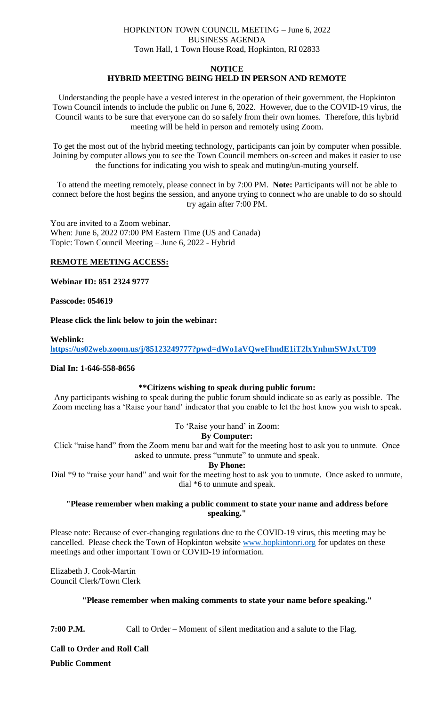# HOPKINTON TOWN COUNCIL MEETING – June 6, 2022 BUSINESS AGENDA Town Hall, 1 Town House Road, Hopkinton, RI 02833

#### **NOTICE**

# **HYBRID MEETING BEING HELD IN PERSON AND REMOTE**

Understanding the people have a vested interest in the operation of their government, the Hopkinton Town Council intends to include the public on June 6, 2022. However, due to the COVID-19 virus, the Council wants to be sure that everyone can do so safely from their own homes. Therefore, this hybrid meeting will be held in person and remotely using Zoom.

To get the most out of the hybrid meeting technology, participants can join by computer when possible. Joining by computer allows you to see the Town Council members on-screen and makes it easier to use the functions for indicating you wish to speak and muting/un-muting yourself.

To attend the meeting remotely, please connect in by 7:00 PM. **Note:** Participants will not be able to connect before the host begins the session, and anyone trying to connect who are unable to do so should try again after 7:00 PM.

You are invited to a Zoom webinar. When: June 6, 2022 07:00 PM Eastern Time (US and Canada) Topic: Town Council Meeting – June 6, 2022 - Hybrid

## **REMOTE MEETING ACCESS:**

**Webinar ID: 851 2324 9777**

#### **Passcode: 054619**

**Please click the link below to join the webinar:**

# **Weblink: <https://us02web.zoom.us/j/85123249777?pwd=dWo1aVQweFhndE1iT2lxYnhmSWJxUT09>**

## **Dial In: 1-646-558-8656**

## **\*\*Citizens wishing to speak during public forum:**

Any participants wishing to speak during the public forum should indicate so as early as possible. The Zoom meeting has a 'Raise your hand' indicator that you enable to let the host know you wish to speak.

## To 'Raise your hand' in Zoom:

#### **By Computer:**

Click "raise hand" from the Zoom menu bar and wait for the meeting host to ask you to unmute. Once asked to unmute, press "unmute" to unmute and speak.

#### **By Phone:**

Dial \*9 to "raise your hand" and wait for the meeting host to ask you to unmute. Once asked to unmute, dial \*6 to unmute and speak.

## **"Please remember when making a public comment to state your name and address before speaking."**

Please note: Because of ever-changing regulations due to the COVID-19 virus, this meeting may be cancelled. Please check the Town of Hopkinton website [www.hopkintonri.org](http://www.hopkintonri.org/) for updates on these meetings and other important Town or COVID-19 information.

Elizabeth J. Cook-Martin Council Clerk/Town Clerk

## **"Please remember when making comments to state your name before speaking."**

**7:00 P.M.** Call to Order – Moment of silent meditation and a salute to the Flag.

**Call to Order and Roll Call Public Comment**